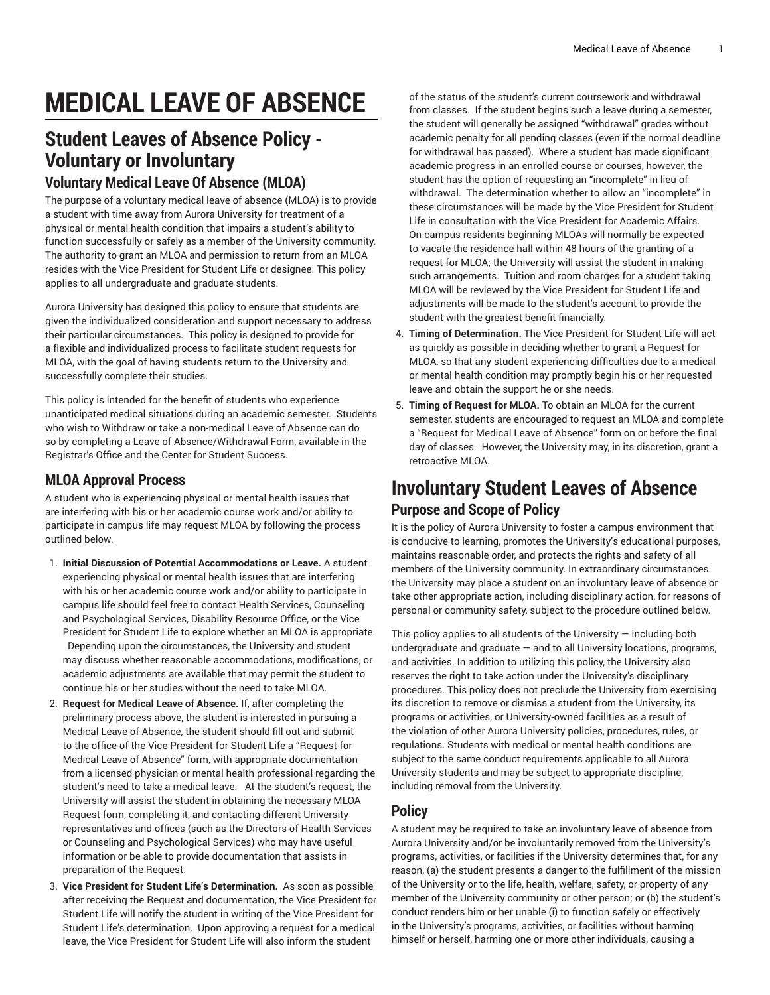# **MEDICAL LEAVE OF ABSENCE**

### **Student Leaves of Absence Policy - Voluntary or Involuntary Voluntary Medical Leave Of Absence (MLOA)**

The purpose of a voluntary medical leave of absence (MLOA) is to provide a student with time away from Aurora University for treatment of a physical or mental health condition that impairs a student's ability to function successfully or safely as a member of the University community. The authority to grant an MLOA and permission to return from an MLOA resides with the Vice President for Student Life or designee. This policy applies to all undergraduate and graduate students.

Aurora University has designed this policy to ensure that students are given the individualized consideration and support necessary to address their particular circumstances. This policy is designed to provide for a flexible and individualized process to facilitate student requests for MLOA, with the goal of having students return to the University and successfully complete their studies.

This policy is intended for the benefit of students who experience unanticipated medical situations during an academic semester. Students who wish to Withdraw or take a non-medical Leave of Absence can do so by completing a Leave of Absence/Withdrawal Form, available in the Registrar's Office and the Center for Student Success.

#### **MLOA Approval Process**

A student who is experiencing physical or mental health issues that are interfering with his or her academic course work and/or ability to participate in campus life may request MLOA by following the process outlined below.

- 1. **Initial Discussion of Potential Accommodations or Leave.** A student experiencing physical or mental health issues that are interfering with his or her academic course work and/or ability to participate in campus life should feel free to contact Health Services, Counseling and Psychological Services, Disability Resource Office, or the Vice President for Student Life to explore whether an MLOA is appropriate. Depending upon the circumstances, the University and student may discuss whether reasonable accommodations, modifications, or academic adjustments are available that may permit the student to continue his or her studies without the need to take MLOA.
- 2. **Request for Medical Leave of Absence.** If, after completing the preliminary process above, the student is interested in pursuing a Medical Leave of Absence, the student should fill out and submit to the office of the Vice President for Student Life a "Request for Medical Leave of Absence" form, with appropriate documentation from a licensed physician or mental health professional regarding the student's need to take a medical leave. At the student's request, the University will assist the student in obtaining the necessary MLOA Request form, completing it, and contacting different University representatives and offices (such as the Directors of Health Services or Counseling and Psychological Services) who may have useful information or be able to provide documentation that assists in preparation of the Request.
- 3. **Vice President for Student Life's Determination.** As soon as possible after receiving the Request and documentation, the Vice President for Student Life will notify the student in writing of the Vice President for Student Life's determination. Upon approving a request for a medical leave, the Vice President for Student Life will also inform the student

of the status of the student's current coursework and withdrawal from classes. If the student begins such a leave during a semester, the student will generally be assigned "withdrawal" grades without academic penalty for all pending classes (even if the normal deadline for withdrawal has passed). Where a student has made significant academic progress in an enrolled course or courses, however, the student has the option of requesting an "incomplete" in lieu of withdrawal. The determination whether to allow an "incomplete" in these circumstances will be made by the Vice President for Student Life in consultation with the Vice President for Academic Affairs. On-campus residents beginning MLOAs will normally be expected to vacate the residence hall within 48 hours of the granting of a request for MLOA; the University will assist the student in making such arrangements. Tuition and room charges for a student taking MLOA will be reviewed by the Vice President for Student Life and adjustments will be made to the student's account to provide the student with the greatest benefit financially.

- 4. **Timing of Determination.** The Vice President for Student Life will act as quickly as possible in deciding whether to grant a Request for MLOA, so that any student experiencing difficulties due to a medical or mental health condition may promptly begin his or her requested leave and obtain the support he or she needs.
- 5. **Timing of Request for MLOA.** To obtain an MLOA for the current semester, students are encouraged to request an MLOA and complete a "Request for Medical Leave of Absence" form on or before the final day of classes. However, the University may, in its discretion, grant a retroactive MLOA.

## **Involuntary Student Leaves of Absence Purpose and Scope of Policy**

It is the policy of Aurora University to foster a campus environment that is conducive to learning, promotes the University's educational purposes, maintains reasonable order, and protects the rights and safety of all members of the University community. In extraordinary circumstances the University may place a student on an involuntary leave of absence or take other appropriate action, including disciplinary action, for reasons of personal or community safety, subject to the procedure outlined below.

This policy applies to all students of the University  $-$  including both undergraduate and graduate  $-$  and to all University locations, programs, and activities. In addition to utilizing this policy, the University also reserves the right to take action under the University's disciplinary procedures. This policy does not preclude the University from exercising its discretion to remove or dismiss a student from the University, its programs or activities, or University-owned facilities as a result of the violation of other Aurora University policies, procedures, rules, or regulations. Students with medical or mental health conditions are subject to the same conduct requirements applicable to all Aurora University students and may be subject to appropriate discipline, including removal from the University.

#### **Policy**

A student may be required to take an involuntary leave of absence from Aurora University and/or be involuntarily removed from the University's programs, activities, or facilities if the University determines that, for any reason, (a) the student presents a danger to the fulfillment of the mission of the University or to the life, health, welfare, safety, or property of any member of the University community or other person; or (b) the student's conduct renders him or her unable (i) to function safely or effectively in the University's programs, activities, or facilities without harming himself or herself, harming one or more other individuals, causing a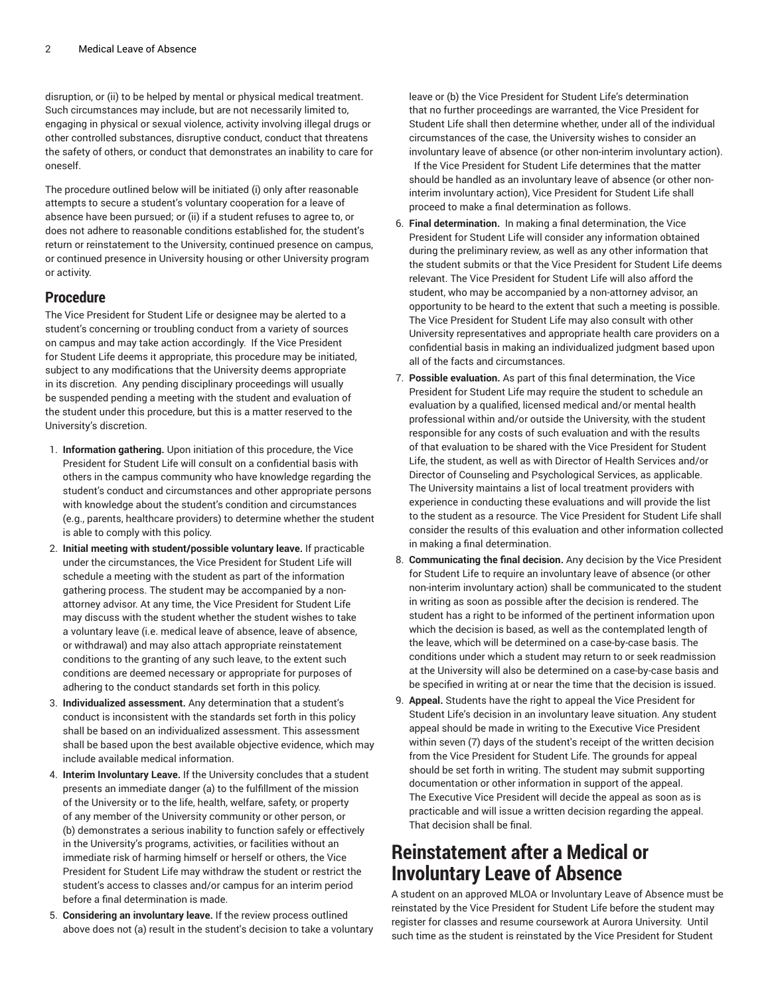disruption, or (ii) to be helped by mental or physical medical treatment. Such circumstances may include, but are not necessarily limited to, engaging in physical or sexual violence, activity involving illegal drugs or other controlled substances, disruptive conduct, conduct that threatens the safety of others, or conduct that demonstrates an inability to care for oneself.

The procedure outlined below will be initiated (i) only after reasonable attempts to secure a student's voluntary cooperation for a leave of absence have been pursued; or (ii) if a student refuses to agree to, or does not adhere to reasonable conditions established for, the student's return or reinstatement to the University, continued presence on campus, or continued presence in University housing or other University program or activity.

#### **Procedure**

The Vice President for Student Life or designee may be alerted to a student's concerning or troubling conduct from a variety of sources on campus and may take action accordingly. If the Vice President for Student Life deems it appropriate, this procedure may be initiated, subject to any modifications that the University deems appropriate in its discretion. Any pending disciplinary proceedings will usually be suspended pending a meeting with the student and evaluation of the student under this procedure, but this is a matter reserved to the University's discretion.

- 1. **Information gathering.** Upon initiation of this procedure, the Vice President for Student Life will consult on a confidential basis with others in the campus community who have knowledge regarding the student's conduct and circumstances and other appropriate persons with knowledge about the student's condition and circumstances (e.g., parents, healthcare providers) to determine whether the student is able to comply with this policy.
- 2. **Initial meeting with student/possible voluntary leave.** If practicable under the circumstances, the Vice President for Student Life will schedule a meeting with the student as part of the information gathering process. The student may be accompanied by a nonattorney advisor. At any time, the Vice President for Student Life may discuss with the student whether the student wishes to take a voluntary leave (i.e. medical leave of absence, leave of absence, or withdrawal) and may also attach appropriate reinstatement conditions to the granting of any such leave, to the extent such conditions are deemed necessary or appropriate for purposes of adhering to the conduct standards set forth in this policy.
- 3. **Individualized assessment.** Any determination that a student's conduct is inconsistent with the standards set forth in this policy shall be based on an individualized assessment. This assessment shall be based upon the best available objective evidence, which may include available medical information.
- 4. **Interim Involuntary Leave.** If the University concludes that a student presents an immediate danger (a) to the fulfillment of the mission of the University or to the life, health, welfare, safety, or property of any member of the University community or other person, or (b) demonstrates a serious inability to function safely or effectively in the University's programs, activities, or facilities without an immediate risk of harming himself or herself or others, the Vice President for Student Life may withdraw the student or restrict the student's access to classes and/or campus for an interim period before a final determination is made.
- 5. **Considering an involuntary leave.** If the review process outlined above does not (a) result in the student's decision to take a voluntary

leave or (b) the Vice President for Student Life's determination that no further proceedings are warranted, the Vice President for Student Life shall then determine whether, under all of the individual circumstances of the case, the University wishes to consider an involuntary leave of absence (or other non-interim involuntary action). If the Vice President for Student Life determines that the matter should be handled as an involuntary leave of absence (or other noninterim involuntary action), Vice President for Student Life shall proceed to make a final determination as follows.

- 6. **Final determination.** In making a final determination, the Vice President for Student Life will consider any information obtained during the preliminary review, as well as any other information that the student submits or that the Vice President for Student Life deems relevant. The Vice President for Student Life will also afford the student, who may be accompanied by a non-attorney advisor, an opportunity to be heard to the extent that such a meeting is possible. The Vice President for Student Life may also consult with other University representatives and appropriate health care providers on a confidential basis in making an individualized judgment based upon all of the facts and circumstances.
- 7. **Possible evaluation.** As part of this final determination, the Vice President for Student Life may require the student to schedule an evaluation by a qualified, licensed medical and/or mental health professional within and/or outside the University, with the student responsible for any costs of such evaluation and with the results of that evaluation to be shared with the Vice President for Student Life, the student, as well as with Director of Health Services and/or Director of Counseling and Psychological Services, as applicable. The University maintains a list of local treatment providers with experience in conducting these evaluations and will provide the list to the student as a resource. The Vice President for Student Life shall consider the results of this evaluation and other information collected in making a final determination.
- 8. **Communicating the final decision.** Any decision by the Vice President for Student Life to require an involuntary leave of absence (or other non-interim involuntary action) shall be communicated to the student in writing as soon as possible after the decision is rendered. The student has a right to be informed of the pertinent information upon which the decision is based, as well as the contemplated length of the leave, which will be determined on a case-by-case basis. The conditions under which a student may return to or seek readmission at the University will also be determined on a case-by-case basis and be specified in writing at or near the time that the decision is issued.
- 9. **Appeal.** Students have the right to appeal the Vice President for Student Life's decision in an involuntary leave situation. Any student appeal should be made in writing to the Executive Vice President within seven (7) days of the student's receipt of the written decision from the Vice President for Student Life. The grounds for appeal should be set forth in writing. The student may submit supporting documentation or other information in support of the appeal. The Executive Vice President will decide the appeal as soon as is practicable and will issue a written decision regarding the appeal. That decision shall be final.

## **Reinstatement after a Medical or Involuntary Leave of Absence**

A student on an approved MLOA or Involuntary Leave of Absence must be reinstated by the Vice President for Student Life before the student may register for classes and resume coursework at Aurora University. Until such time as the student is reinstated by the Vice President for Student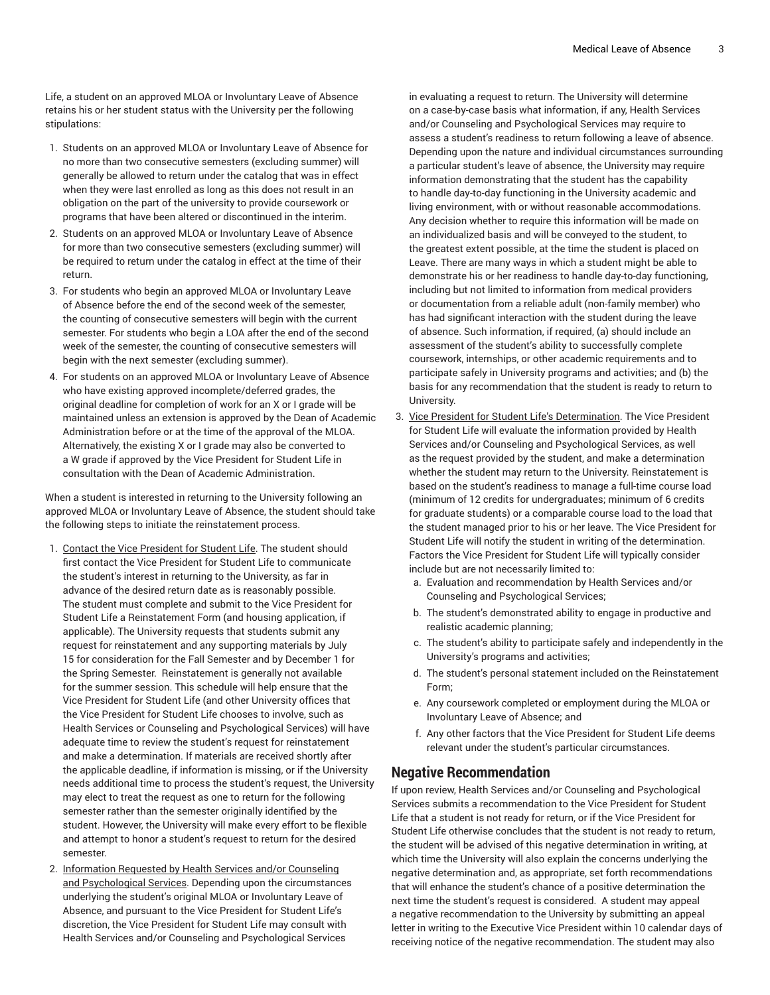Life, a student on an approved MLOA or Involuntary Leave of Absence retains his or her student status with the University per the following stipulations:

- 1. Students on an approved MLOA or Involuntary Leave of Absence for no more than two consecutive semesters (excluding summer) will generally be allowed to return under the catalog that was in effect when they were last enrolled as long as this does not result in an obligation on the part of the university to provide coursework or programs that have been altered or discontinued in the interim.
- 2. Students on an approved MLOA or Involuntary Leave of Absence for more than two consecutive semesters (excluding summer) will be required to return under the catalog in effect at the time of their return.
- 3. For students who begin an approved MLOA or Involuntary Leave of Absence before the end of the second week of the semester, the counting of consecutive semesters will begin with the current semester. For students who begin a LOA after the end of the second week of the semester, the counting of consecutive semesters will begin with the next semester (excluding summer).
- 4. For students on an approved MLOA or Involuntary Leave of Absence who have existing approved incomplete/deferred grades, the original deadline for completion of work for an X or I grade will be maintained unless an extension is approved by the Dean of Academic Administration before or at the time of the approval of the MLOA. Alternatively, the existing X or I grade may also be converted to a W grade if approved by the Vice President for Student Life in consultation with the Dean of Academic Administration.

When a student is interested in returning to the University following an approved MLOA or Involuntary Leave of Absence, the student should take the following steps to initiate the reinstatement process.

- 1. Contact the Vice President for Student Life. The student should first contact the Vice President for Student Life to communicate the student's interest in returning to the University, as far in advance of the desired return date as is reasonably possible. The student must complete and submit to the Vice President for Student Life a Reinstatement Form (and housing application, if applicable). The University requests that students submit any request for reinstatement and any supporting materials by July 15 for consideration for the Fall Semester and by December 1 for the Spring Semester. Reinstatement is generally not available for the summer session. This schedule will help ensure that the Vice President for Student Life (and other University offices that the Vice President for Student Life chooses to involve, such as Health Services or Counseling and Psychological Services) will have adequate time to review the student's request for reinstatement and make a determination. If materials are received shortly after the applicable deadline, if information is missing, or if the University needs additional time to process the student's request, the University may elect to treat the request as one to return for the following semester rather than the semester originally identified by the student. However, the University will make every effort to be flexible and attempt to honor a student's request to return for the desired semester.
- 2. Information Requested by Health Services and/or Counseling and Psychological Services. Depending upon the circumstances underlying the student's original MLOA or Involuntary Leave of Absence, and pursuant to the Vice President for Student Life's discretion, the Vice President for Student Life may consult with Health Services and/or Counseling and Psychological Services

in evaluating a request to return. The University will determine on a case-by-case basis what information, if any, Health Services and/or Counseling and Psychological Services may require to assess a student's readiness to return following a leave of absence. Depending upon the nature and individual circumstances surrounding a particular student's leave of absence, the University may require information demonstrating that the student has the capability to handle day-to-day functioning in the University academic and living environment, with or without reasonable accommodations. Any decision whether to require this information will be made on an individualized basis and will be conveyed to the student, to the greatest extent possible, at the time the student is placed on Leave. There are many ways in which a student might be able to demonstrate his or her readiness to handle day-to-day functioning, including but not limited to information from medical providers or documentation from a reliable adult (non-family member) who has had significant interaction with the student during the leave of absence. Such information, if required, (a) should include an assessment of the student's ability to successfully complete coursework, internships, or other academic requirements and to participate safely in University programs and activities; and (b) the basis for any recommendation that the student is ready to return to University.

- 3. Vice President for Student Life's Determination. The Vice President for Student Life will evaluate the information provided by Health Services and/or Counseling and Psychological Services, as well as the request provided by the student, and make a determination whether the student may return to the University. Reinstatement is based on the student's readiness to manage a full-time course load (minimum of 12 credits for undergraduates; minimum of 6 credits for graduate students) or a comparable course load to the load that the student managed prior to his or her leave. The Vice President for Student Life will notify the student in writing of the determination. Factors the Vice President for Student Life will typically consider include but are not necessarily limited to:
	- a. Evaluation and recommendation by Health Services and/or Counseling and Psychological Services;
	- b. The student's demonstrated ability to engage in productive and realistic academic planning;
	- c. The student's ability to participate safely and independently in the University's programs and activities;
	- d. The student's personal statement included on the Reinstatement Form;
	- e. Any coursework completed or employment during the MLOA or Involuntary Leave of Absence; and
	- f. Any other factors that the Vice President for Student Life deems relevant under the student's particular circumstances.

#### **Negative Recommendation**

If upon review, Health Services and/or Counseling and Psychological Services submits a recommendation to the Vice President for Student Life that a student is not ready for return, or if the Vice President for Student Life otherwise concludes that the student is not ready to return, the student will be advised of this negative determination in writing, at which time the University will also explain the concerns underlying the negative determination and, as appropriate, set forth recommendations that will enhance the student's chance of a positive determination the next time the student's request is considered. A student may appeal a negative recommendation to the University by submitting an appeal letter in writing to the Executive Vice President within 10 calendar days of receiving notice of the negative recommendation. The student may also